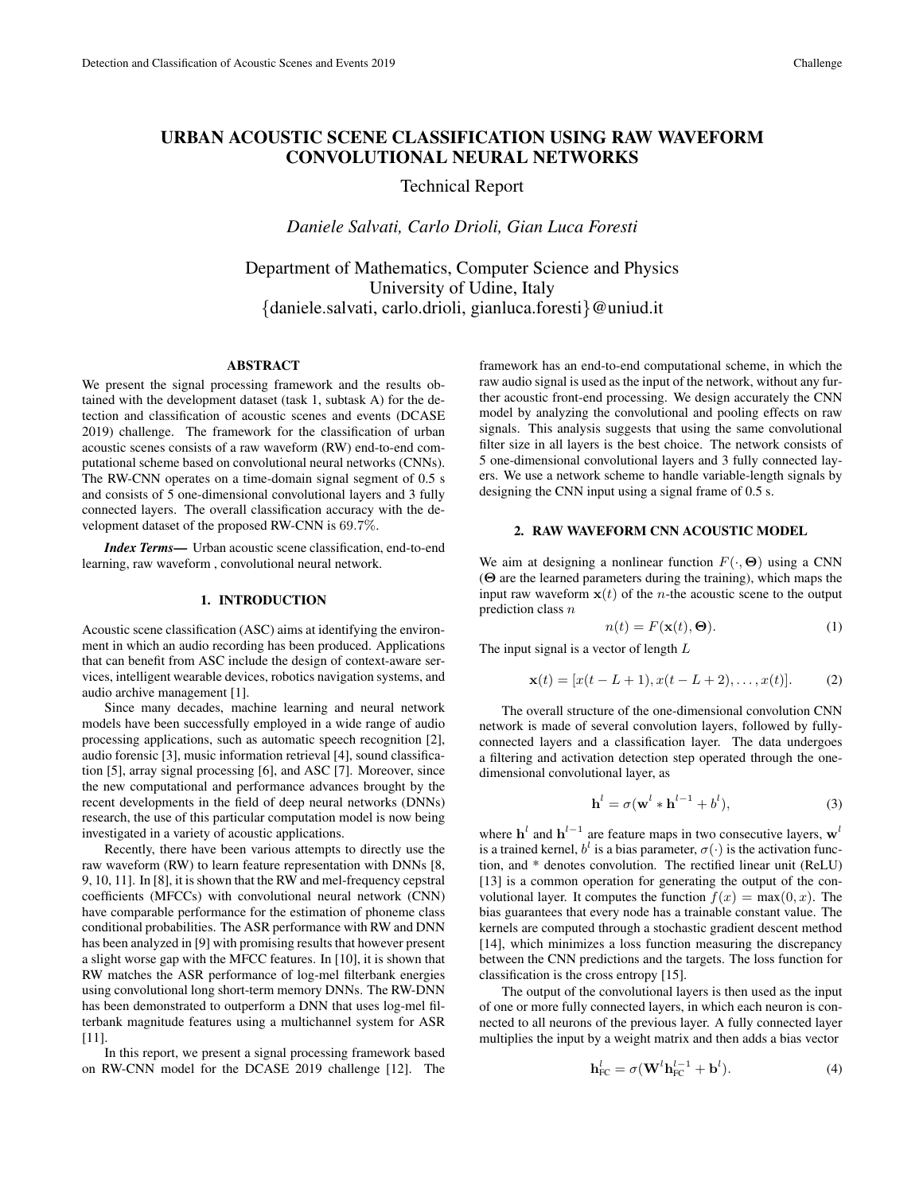# **URBAN ACOUSTIC SCENE CLASSIFICATION USING RAW WAVEFORM CONVOLUTIONAL NEURAL NETWORKS**

## Technical Report

*Daniele Salvati, Carlo Drioli, Gian Luca Foresti*

Department of Mathematics, Computer Science and Physics University of Udine, Italy {daniele.salvati, carlo.drioli, gianluca.foresti}@uniud.it

#### **ABSTRACT**

We present the signal processing framework and the results obtained with the development dataset (task 1, subtask A) for the detection and classification of acoustic scenes and events (DCASE 2019) challenge. The framework for the classification of urban acoustic scenes consists of a raw waveform (RW) end-to-end computational scheme based on convolutional neural networks (CNNs). The RW-CNN operates on a time-domain signal segment of 0.5 s and consists of 5 one-dimensional convolutional layers and 3 fully connected layers. The overall classification accuracy with the development dataset of the proposed RW-CNN is 69.7%.

*Index Terms***—** Urban acoustic scene classification, end-to-end learning, raw waveform , convolutional neural network.

#### **1. INTRODUCTION**

Acoustic scene classification (ASC) aims at identifying the environment in which an audio recording has been produced. Applications that can benefit from ASC include the design of context-aware services, intelligent wearable devices, robotics navigation systems, and audio archive management [1].

Since many decades, machine learning and neural network models have been successfully employed in a wide range of audio processing applications, such as automatic speech recognition [2], audio forensic [3], music information retrieval [4], sound classification [5], array signal processing [6], and ASC [7]. Moreover, since the new computational and performance advances brought by the recent developments in the field of deep neural networks (DNNs) research, the use of this particular computation model is now being investigated in a variety of acoustic applications.

Recently, there have been various attempts to directly use the raw waveform (RW) to learn feature representation with DNNs [8, 9, 10, 11]. In [8], it is shown that the RW and mel-frequency cepstral coefficients (MFCCs) with convolutional neural network (CNN) have comparable performance for the estimation of phoneme class conditional probabilities. The ASR performance with RW and DNN has been analyzed in [9] with promising results that however present a slight worse gap with the MFCC features. In [10], it is shown that RW matches the ASR performance of log-mel filterbank energies using convolutional long short-term memory DNNs. The RW-DNN has been demonstrated to outperform a DNN that uses log-mel filterbank magnitude features using a multichannel system for ASR [11].

In this report, we present a signal processing framework based on RW-CNN model for the DCASE 2019 challenge [12]. The

framework has an end-to-end computational scheme, in which the raw audio signal is used as the input of the network, without any further acoustic front-end processing. We design accurately the CNN model by analyzing the convolutional and pooling effects on raw signals. This analysis suggests that using the same convolutional filter size in all layers is the best choice. The network consists of 5 one-dimensional convolutional layers and 3 fully connected layers. We use a network scheme to handle variable-length signals by designing the CNN input using a signal frame of 0.5 s.

#### **2. RAW WAVEFORM CNN ACOUSTIC MODEL**

We aim at designing a nonlinear function  $F(\cdot, \Theta)$  using a CNN (Θ are the learned parameters during the training), which maps the input raw waveform  $x(t)$  of the *n*-the acoustic scene to the output prediction class  $n$ 

$$
n(t) = F(\mathbf{x}(t), \Theta). \tag{1}
$$

The input signal is a vector of length L

$$
\mathbf{x}(t) = [x(t - L + 1), x(t - L + 2), \dots, x(t)].
$$
 (2)

The overall structure of the one-dimensional convolution CNN network is made of several convolution layers, followed by fullyconnected layers and a classification layer. The data undergoes a filtering and activation detection step operated through the onedimensional convolutional layer, as

$$
\mathbf{h}^{l} = \sigma(\mathbf{w}^{l} * \mathbf{h}^{l-1} + b^{l}),
$$
 (3)

where  $h^l$  and  $h^{l-1}$  are feature maps in two consecutive layers,  $w^l$ is a trained kernel,  $b^l$  is a bias parameter,  $\sigma(\cdot)$  is the activation function, and \* denotes convolution. The rectified linear unit (ReLU) [13] is a common operation for generating the output of the convolutional layer. It computes the function  $f(x) = \max(0, x)$ . The bias guarantees that every node has a trainable constant value. The kernels are computed through a stochastic gradient descent method [14], which minimizes a loss function measuring the discrepancy between the CNN predictions and the targets. The loss function for classification is the cross entropy [15].

The output of the convolutional layers is then used as the input of one or more fully connected layers, in which each neuron is connected to all neurons of the previous layer. A fully connected layer multiplies the input by a weight matrix and then adds a bias vector

$$
\mathbf{h}_{\text{FC}}^l = \sigma(\mathbf{W}^l \mathbf{h}_{\text{FC}}^{l-1} + \mathbf{b}^l). \tag{4}
$$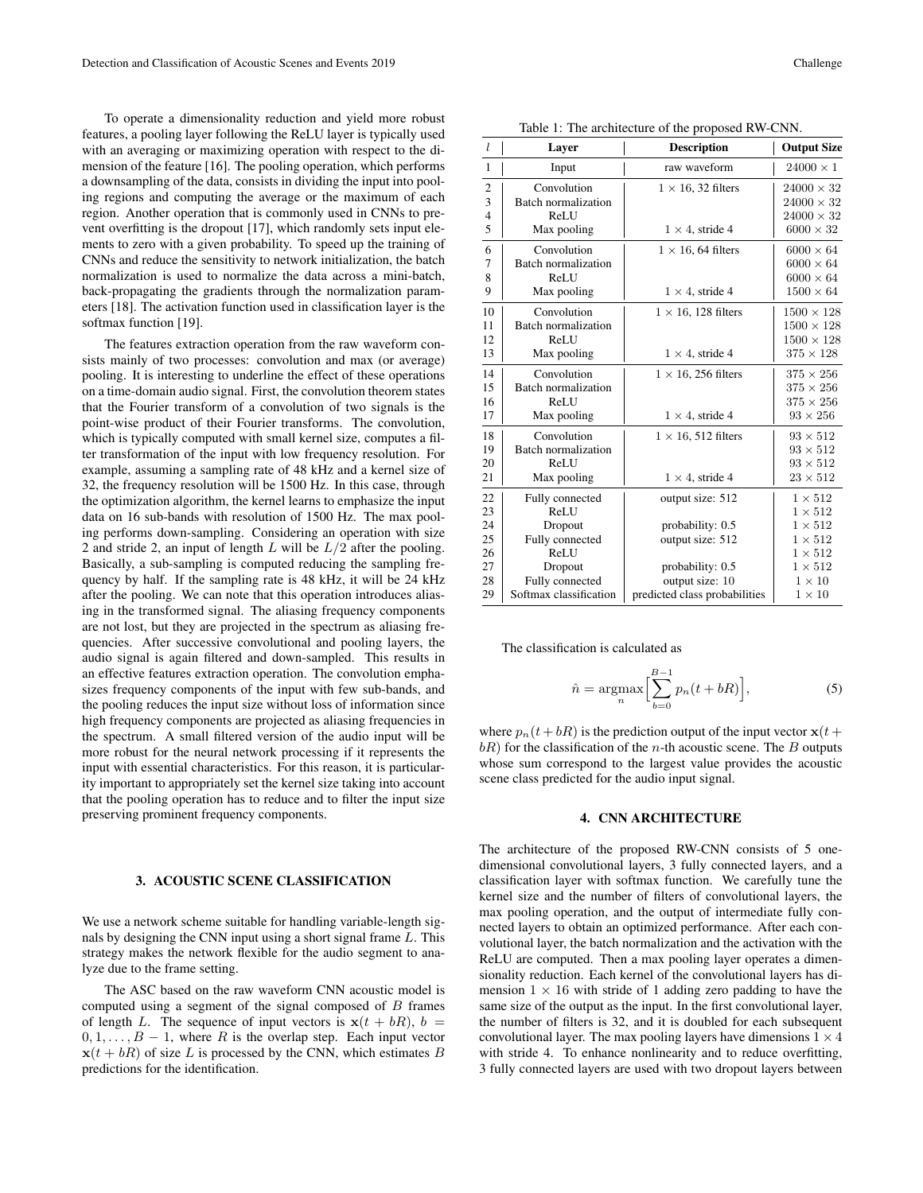To operate a dimensionality reduction and yield more robust features, a pooling layer following the ReLU layer is typically used with an averaging or maximizing operation with respect to the dimension of the feature [16]. The pooling operation, which performs a downsampling of the data, consists in dividing the input into pooling regions and computing the average or the maximum of each region. Another operation that is commonly used in CNNs to prevent overfitting is the dropout [17], which randomly sets input elements to zero with a given probability. To speed up the training of CNNs and reduce the sensitivity to network initialization, the batch normalization is used to normalize the data across a mini-batch, back-propagating the gradients through the normalization parameters [18]. The activation function used in classification layer is the softmax function [19].

The features extraction operation from the raw waveform consists mainly of two processes: convolution and max (or average) pooling. It is interesting to underline the effect of these operations on a time-domain audio signal. First, the convolution theorem states that the Fourier transform of a convolution of two signals is the point-wise product of their Fourier transforms. The convolution, which is typically computed with small kernel size, computes a filter transformation of the input with low frequency resolution. For example, assuming a sampling rate of 48 kHz and a kernel size of 32, the frequency resolution will be 1500 Hz. In this case, through the optimization algorithm, the kernel learns to emphasize the input data on 16 sub-bands with resolution of 1500 Hz. The max pooling performs down-sampling. Considering an operation with size 2 and stride 2, an input of length  $L$  will be  $L/2$  after the pooling. Basically, a sub-sampling is computed reducing the sampling frequency by half. If the sampling rate is 48 kHz, it will be 24 kHz after the pooling. We can note that this operation introduces aliasing in the transformed signal. The aliasing frequency components are not lost, but they are projected in the spectrum as aliasing frequencies. After successive convolutional and pooling layers, the audio signal is again filtered and down-sampled. This results in an effective features extraction operation. The convolution emphasizes frequency components of the input with few sub-bands, and the pooling reduces the input size without loss of information since high frequency components are projected as aliasing frequencies in the spectrum. A small filtered version of the audio input will be more robust for the neural network processing if it represents the input with essential characteristics. For this reason, it is particularity important to appropriately set the kernel size taking into account that the pooling operation has to reduce and to filter the input size preserving prominent frequency components.

#### **3. ACOUSTIC SCENE CLASSIFICATION**

We use a network scheme suitable for handling variable-length signals by designing the CNN input using a short signal frame L. This strategy makes the network flexible for the audio segment to analyze due to the frame setting.

The ASC based on the raw waveform CNN acoustic model is computed using a segment of the signal composed of  $B$  frames of length L. The sequence of input vectors is  $x(t + bR)$ ,  $b =$  $0, 1, \ldots, B - 1$ , where R is the overlap step. Each input vector  $\mathbf{x}(t + bR)$  of size L is processed by the CNN, which estimates B predictions for the identification.

Table 1: The architecture of the proposed RW-CNN.

| l                                          | Layer                                                                    | <b>Description</b>                                                           | <b>Output Size</b>                                                                                 |
|--------------------------------------------|--------------------------------------------------------------------------|------------------------------------------------------------------------------|----------------------------------------------------------------------------------------------------|
| $\mathbf{1}$                               | Input                                                                    | raw waveform                                                                 | $24000 \times 1$                                                                                   |
| $\mathfrak{2}$<br>3<br>$\overline{4}$<br>5 | Convolution<br>Batch normalization<br>ReLU<br>Max pooling                | $1 \times 16$ , 32 filters<br>$1 \times 4$ , stride 4                        | $24000 \times 32$<br>$24000 \times 32$<br>$24000 \times 32$<br>$6000 \times 32$                    |
| 6<br>$\overline{7}$<br>8<br>9              | Convolution<br>Batch normalization<br>ReLU<br>Max pooling                | $1 \times 16$ , 64 filters<br>$1 \times 4$ , stride 4                        | $6000 \times 64$<br>$6000 \times 64$<br>$6000 \times 64$<br>$1500 \times 64$                       |
| 10<br>11<br>12<br>13                       | Convolution<br><b>Batch normalization</b><br>ReLU<br>Max pooling         | $1 \times 16$ , 128 filters<br>$1 \times 4$ , stride 4                       | $1500 \times 128$<br>$1500 \times 128$<br>$1500 \times 128$<br>$375 \times 128$                    |
| 14<br>15<br>16<br>17                       | Convolution<br>Batch normalization<br>ReLU<br>Max pooling                | $1 \times 16$ , 256 filters<br>$1 \times 4$ , stride 4                       | $375 \times 256$<br>$375 \times 256$<br>$375 \times 256$<br>$93 \times 256$                        |
| 18<br>19<br>20<br>21                       | Convolution<br>Batch normalization<br>ReLU<br>Max pooling                | $1 \times 16$ , 512 filters<br>$1 \times 4$ , stride 4                       | $93 \times 512$<br>$93 \times 512$<br>$93 \times 512$<br>$23 \times 512$                           |
| 22<br>23<br>24<br>25<br>26<br>27           | Fully connected<br>ReLU<br>Dropout<br>Fully connected<br>ReLU<br>Dropout | output size: 512<br>probability: 0.5<br>output size: 512<br>probability: 0.5 | $1 \times 512$<br>$1\times512$<br>$1\times512$<br>$1 \times 512$<br>$1 \times 512$<br>$1\times512$ |
| 28<br>29                                   | Fully connected<br>Softmax classification                                | output size: 10<br>predicted class probabilities                             | $1 \times 10$<br>$1 \times 10$                                                                     |

The classification is calculated as

$$
\hat{n} = \underset{n}{\operatorname{argmax}} \Big[ \sum_{b=0}^{B-1} p_n(t + bR) \Big],\tag{5}
$$

where  $p_n(t + bR)$  is the prediction output of the input vector  $x(t + bR)$  $bR$ ) for the classification of the *n*-th acoustic scene. The *B* outputs whose sum correspond to the largest value provides the acoustic scene class predicted for the audio input signal.

#### **4. CNN ARCHITECTURE**

The architecture of the proposed RW-CNN consists of 5 onedimensional convolutional layers, 3 fully connected layers, and a classification layer with softmax function. We carefully tune the kernel size and the number of filters of convolutional layers, the max pooling operation, and the output of intermediate fully connected layers to obtain an optimized performance. After each convolutional layer, the batch normalization and the activation with the ReLU are computed. Then a max pooling layer operates a dimensionality reduction. Each kernel of the convolutional layers has dimension  $1 \times 16$  with stride of 1 adding zero padding to have the same size of the output as the input. In the first convolutional layer, the number of filters is 32, and it is doubled for each subsequent convolutional layer. The max pooling layers have dimensions  $1 \times 4$ with stride 4. To enhance nonlinearity and to reduce overfitting, 3 fully connected layers are used with two dropout layers between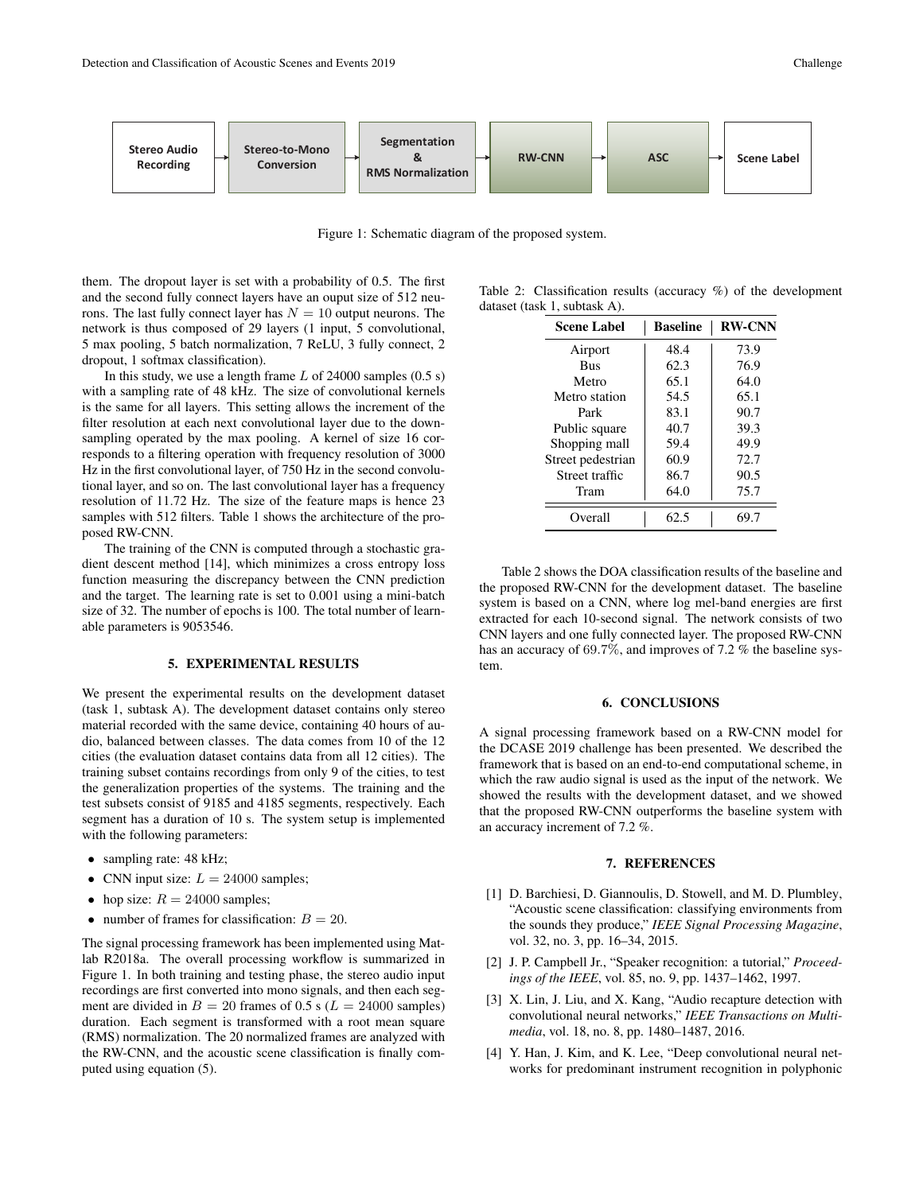

Figure 1: Schematic diagram of the proposed system.

them. The dropout layer is set with a probability of 0.5. The first and the second fully connect layers have an ouput size of 512 neurons. The last fully connect layer has  $N = 10$  output neurons. The network is thus composed of 29 layers (1 input, 5 convolutional, 5 max pooling, 5 batch normalization, 7 ReLU, 3 fully connect, 2 dropout, 1 softmax classification).

In this study, we use a length frame  $L$  of 24000 samples (0.5 s) with a sampling rate of 48 kHz. The size of convolutional kernels is the same for all layers. This setting allows the increment of the filter resolution at each next convolutional layer due to the downsampling operated by the max pooling. A kernel of size 16 corresponds to a filtering operation with frequency resolution of 3000 Hz in the first convolutional layer, of 750 Hz in the second convolutional layer, and so on. The last convolutional layer has a frequency resolution of 11.72 Hz. The size of the feature maps is hence 23 samples with 512 filters. Table 1 shows the architecture of the proposed RW-CNN.

The training of the CNN is computed through a stochastic gradient descent method [14], which minimizes a cross entropy loss function measuring the discrepancy between the CNN prediction and the target. The learning rate is set to 0.001 using a mini-batch size of 32. The number of epochs is 100. The total number of learnable parameters is 9053546.

### **5. EXPERIMENTAL RESULTS**

We present the experimental results on the development dataset (task 1, subtask A). The development dataset contains only stereo material recorded with the same device, containing 40 hours of audio, balanced between classes. The data comes from 10 of the 12 cities (the evaluation dataset contains data from all 12 cities). The training subset contains recordings from only 9 of the cities, to test the generalization properties of the systems. The training and the test subsets consist of 9185 and 4185 segments, respectively. Each segment has a duration of 10 s. The system setup is implemented with the following parameters:

- sampling rate: 48 kHz;
- CNN input size:  $L = 24000$  samples;
- hop size:  $R = 24000$  samples;
- number of frames for classification:  $B = 20$ .

The signal processing framework has been implemented using Matlab R2018a. The overall processing workflow is summarized in Figure 1. In both training and testing phase, the stereo audio input recordings are first converted into mono signals, and then each segment are divided in  $B = 20$  frames of 0.5 s ( $L = 24000$  samples) duration. Each segment is transformed with a root mean square (RMS) normalization. The 20 normalized frames are analyzed with the RW-CNN, and the acoustic scene classification is finally computed using equation (5).

Table 2: Classification results (accuracy %) of the development dataset (task 1, subtask A).

| Scene Label       | <b>Baseline</b> | <b>RW-CNN</b> |
|-------------------|-----------------|---------------|
| Airport           | 48.4            | 73.9          |
| <b>Bus</b>        | 62.3            | 76.9          |
| Metro             | 65.1            | 64.0          |
| Metro station     | 54.5            | 65.1          |
| Park              | 83.1            | 90.7          |
| Public square     | 40.7            | 39.3          |
| Shopping mall     | 59.4            | 49.9          |
| Street pedestrian | 60.9            | 72.7          |
| Street traffic    | 86.7            | 90.5          |
| Tram              | 64.0            | 75.7          |
| Overall           | 62.5            | 69.7          |

Table 2 shows the DOA classification results of the baseline and the proposed RW-CNN for the development dataset. The baseline system is based on a CNN, where log mel-band energies are first extracted for each 10-second signal. The network consists of two CNN layers and one fully connected layer. The proposed RW-CNN has an accuracy of 69.7%, and improves of 7.2 % the baseline system.

#### **6. CONCLUSIONS**

A signal processing framework based on a RW-CNN model for the DCASE 2019 challenge has been presented. We described the framework that is based on an end-to-end computational scheme, in which the raw audio signal is used as the input of the network. We showed the results with the development dataset, and we showed that the proposed RW-CNN outperforms the baseline system with an accuracy increment of 7.2 %.

#### **7. REFERENCES**

- [1] D. Barchiesi, D. Giannoulis, D. Stowell, and M. D. Plumbley, "Acoustic scene classification: classifying environments from the sounds they produce," *IEEE Signal Processing Magazine*, vol. 32, no. 3, pp. 16–34, 2015.
- [2] J. P. Campbell Jr., "Speaker recognition: a tutorial," *Proceedings of the IEEE*, vol. 85, no. 9, pp. 1437–1462, 1997.
- [3] X. Lin, J. Liu, and X. Kang, "Audio recapture detection with convolutional neural networks," *IEEE Transactions on Multimedia*, vol. 18, no. 8, pp. 1480–1487, 2016.
- [4] Y. Han, J. Kim, and K. Lee, "Deep convolutional neural networks for predominant instrument recognition in polyphonic